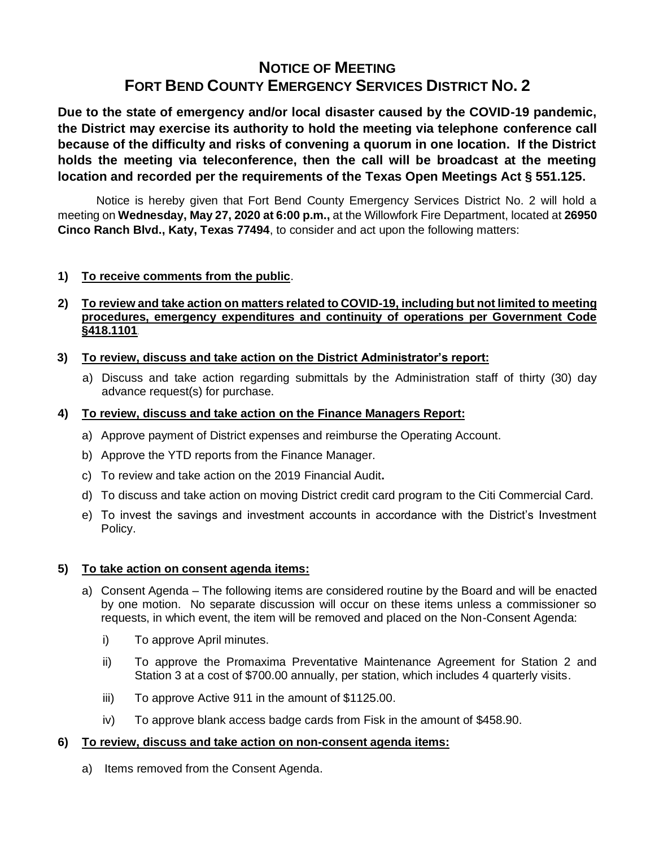# **NOTICE OF MEETING FORT BEND COUNTY EMERGENCY SERVICES DISTRICT NO. 2**

**Due to the state of emergency and/or local disaster caused by the COVID-19 pandemic, the District may exercise its authority to hold the meeting via telephone conference call because of the difficulty and risks of convening a quorum in one location. If the District holds the meeting via teleconference, then the call will be broadcast at the meeting location and recorded per the requirements of the Texas Open Meetings Act § 551.125.**

Notice is hereby given that Fort Bend County Emergency Services District No. 2 will hold a meeting on **Wednesday, May 27, 2020 at 6:00 p.m.,** at the Willowfork Fire Department, located at **26950 Cinco Ranch Blvd., Katy, Texas 77494**, to consider and act upon the following matters:

## **1) To receive comments from the public**.

# **2) To review and take action on matters related to COVID-19, including but not limited to meeting procedures, emergency expenditures and continuity of operations per Government Code §418.1101**.

# **3) To review, discuss and take action on the District Administrator's report:**

a) Discuss and take action regarding submittals by the Administration staff of thirty (30) day advance request(s) for purchase.

## **4) To review, discuss and take action on the Finance Managers Report:**

- a) Approve payment of District expenses and reimburse the Operating Account.
- b) Approve the YTD reports from the Finance Manager.
- c) To review and take action on the 2019 Financial Audit**.**
- d) To discuss and take action on moving District credit card program to the Citi Commercial Card.
- e) To invest the savings and investment accounts in accordance with the District's Investment Policy.

## **5) To take action on consent agenda items:**

- a) Consent Agenda The following items are considered routine by the Board and will be enacted by one motion. No separate discussion will occur on these items unless a commissioner so requests, in which event, the item will be removed and placed on the Non-Consent Agenda:
	- i) To approve April minutes.
	- ii) To approve the Promaxima Preventative Maintenance Agreement for Station 2 and Station 3 at a cost of \$700.00 annually, per station, which includes 4 quarterly visits.
	- iii) To approve Active 911 in the amount of \$1125.00.
	- iv) To approve blank access badge cards from Fisk in the amount of \$458.90.

## **6) To review, discuss and take action on non-consent agenda items:**

a) Items removed from the Consent Agenda.